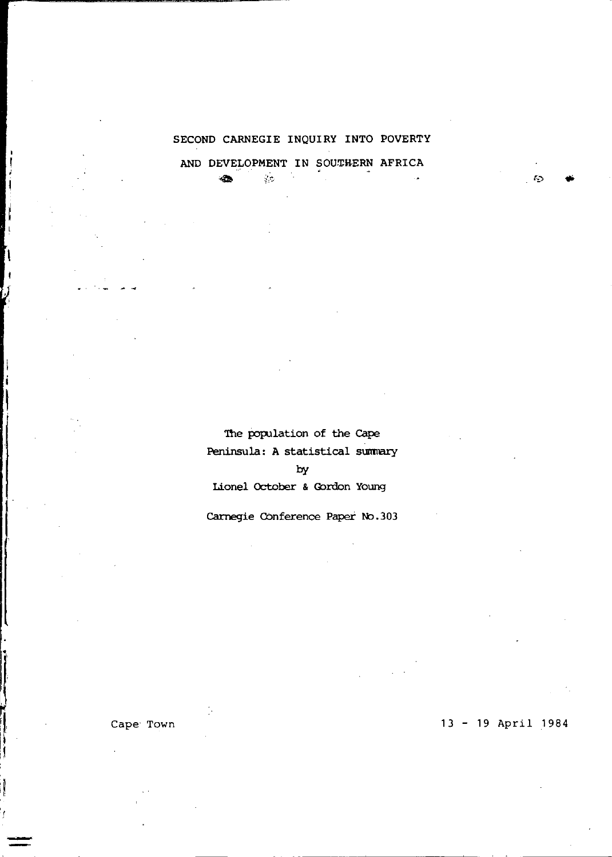# SECOND CARNEGIE INQUIRY INTO POVERTY

AND DEVELOPMENT IN SOUTHERN AFRICA

 $\frac{1}{2\pi}$ 

æ.

The population of the Cape Peninsula: A statistical summary  $b$ v Lionel October & Gordon Young

Carnegie Conference Paper No.303

Cape Town

13 - 19 April 1984

K.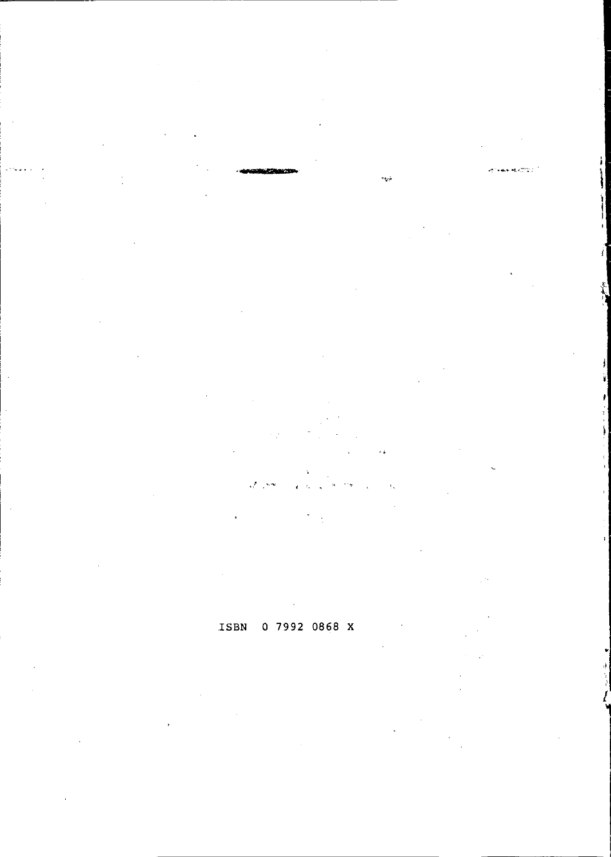







0 7992 0868 X ISBN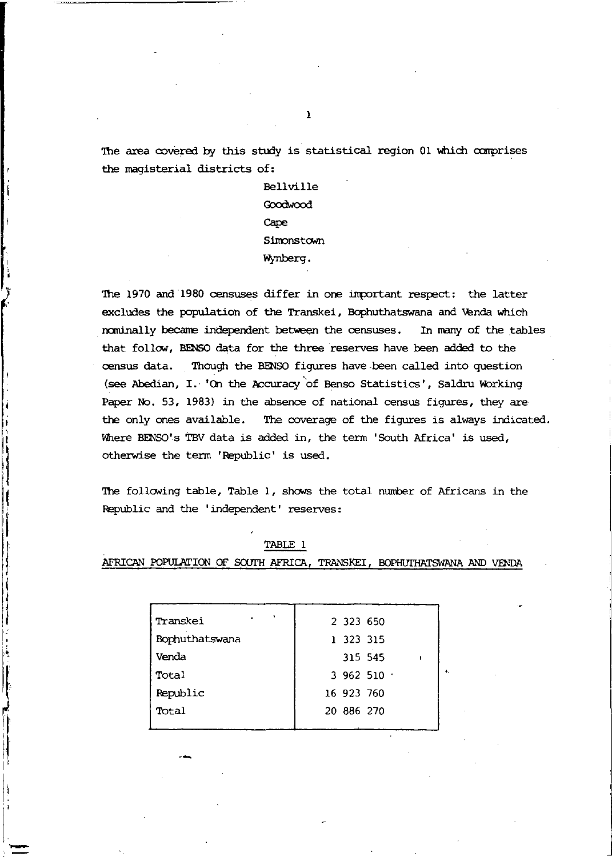The area covered by this study is statistical region 01 which comprises the magisterial districts of:

> Bellville Goodwood Cape Simonstown Wynberg.

The 1970 and 1980 censuses differ in one important respect: the latter excludes the population of the Transkei, Bophuthatswana and Venda which nominally became independent between the censuses. In many of the tables that follow, BENSO data for the three reserves have been added to the census data. Though the BENSO figures have been called into question (see Abedian, I. 'On the Accuracy of Benso Statistics', Saldru Working Paper No. 53, 1983) in the absence of national census figures, they are the only ones available. The coverage of the figures is always indicated. Where BENSO's TBV data is added in, the term 'South Africa' is used, otherwise the term 'Republic' is used.

The following table, Table 1, shows the total number of Africans in the Republic and the 'independent' reserves:

| ٠<br>Transkei  | 2 323 650  |
|----------------|------------|
| Bophuthatswana | 1 323 315  |
| Venda          | 315 545    |
| Total          | 3962510    |
| Republic       | 16 923 760 |
| Total          | 20 886 270 |
|                |            |

TABLE 1

AFRICAN POPULATION OF SOUTH AFRICA, TRANSKEI, BOPHUTHATSWANA AND VENDA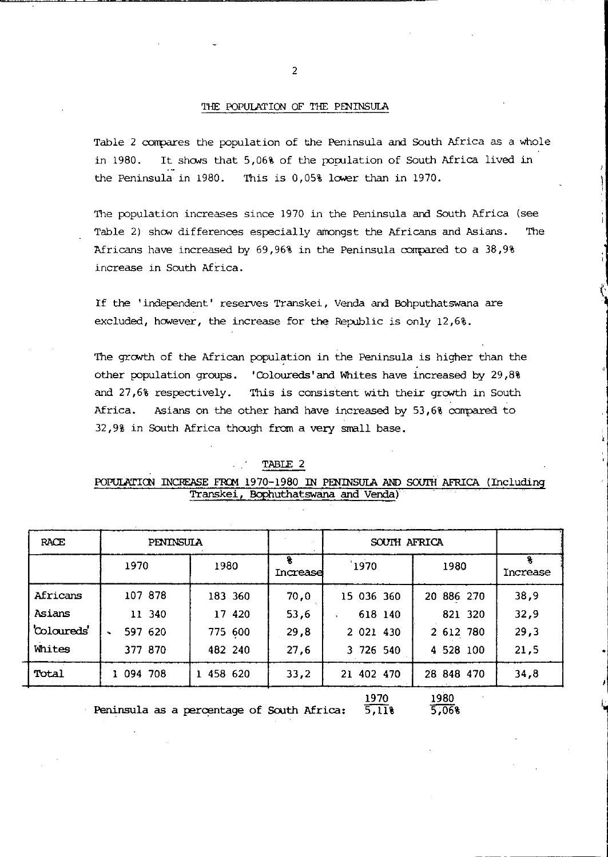### THE POPUlATION OF THE PENINSUlA

Table 2 compares the population of the Peninsula and South Africa as a whole in 1980. It shows that 5,06% of the population of South Africa lived in the Peninsula in 1980. This is 0,05% lower than in 1970.

The population increases since 1970 in the Peninsula and South Africa (see Table 2) show differences especially amongst the Africans and Asians. The Africans have increased by 69,96% in the Peninsula compared to a  $38,98$ increase in South Africa.

If the 'independent' reserves Transkei, Venda and Bohputhatswana are excluded, however, the increase for the Republic is only 12,6%.

The growth of the African population in the Peninsula is higher than the other population groups. 'Coloureds' and Whites have increased by 29,8% and 27,6% respectively. This is consistent with their growth in South Africa. Asians on the other hand have increased by 53,6% compared to 32,9% in South Africa though from a very small base.

| TART |
|------|
|------|

### POPULATION INCREASE FROM 1970-1980 IN PENINSULA AND SOUTH AFRICA (Including Transkei, Bophuthatswana and Venda)

| RACE        | <b>PENINSULA</b> |           |          |            |            |          |
|-------------|------------------|-----------|----------|------------|------------|----------|
|             | 1970             | 1980      | Increase | 1970       | 1980       | Increase |
| Africans    | 107 878          | 183 360   | 70.0     | 15 036 360 | 20 886 270 | 38,9     |
| Asians      | 11 340           | 17 420    | 53,6     | 618 140    | 821 320    | 32,9     |
| 'Coloureds' | 597 620          | 775 600   | 29,8     | 2 021 430  | 2 612 780  | 29,3     |
| Whites      | 377 870          | 482 240   | 27,6     | 3 726 540  | 4 528 100  | 21,5     |
| Total       | 1 094 708        | 1 458 620 | 33,2     | 21 402 470 | 28 848 470 | 34,8     |
|             |                  |           |          | 1970       | 1980       |          |

 $5,118$ Peninsula as a percentage of South Africa:

1980 5,06%

la de la contrada de la contrada de la contrada de la contrada de la contrada de la contrada de la contrada de<br>Desenvolver de la contrada de la contrada de la contrada de la contrada de la contrada de la contrada de la co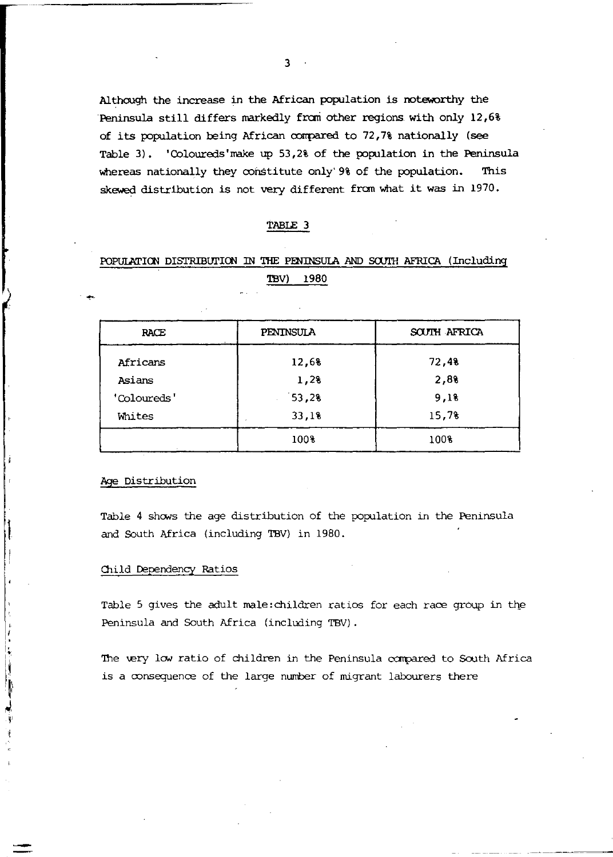Although the increase in the African population is noteworthy the 'Peninsula still differs markedly fran other regions with only 12,6% of its population being African corrpared to 72,7% nationally (see Table 3). 'Coloureds'make up 53,2% of the population in the Peninsula whereas nationally they constitute only' 9% of the population. This skewed distribution is not very different frem what it was in 1970.

## TABLE 3

# POPULATION DISTRIBUTION IN THE PENINSULA AND SOUTH AFRICA (Including TBV) 1980

| RACE        | PENINSULA | SOUTH AFRICA |
|-------------|-----------|--------------|
| Africans    | 12,68     | 72,4%        |
| Asians      | 1,2%      | 2,8%         |
| 'Coloureds' | 53,28     | 9,18         |
| Whites      | 33,1%     | 15,7%        |
|             | 100%      | 100%         |

Age Distribution

Ì I

> ÿ į

Table 4 shows the age distribution of the population in the Peninsula and South Africa (including TBV) in 1980.

#### Child Dependency Ratios

Table 5 gives the adult male:children ratios for each race group in the Peninsula and South Africa (including TBV) .

The very low ratio of children in the Peninsula compared to South Africa is a oonsequence of the large number of migrant labourers there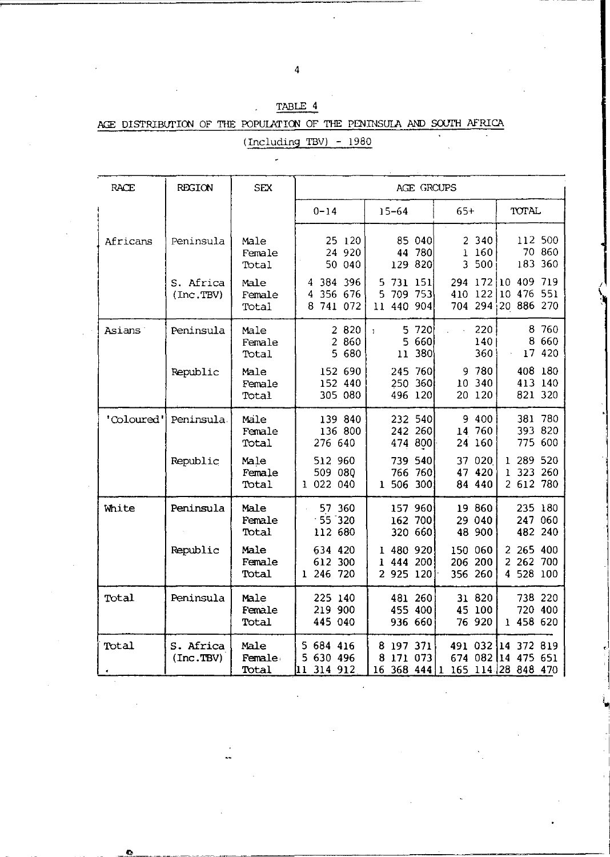| RACE                | <b>REGION</b>          | SEX                     |                                               | AGE GROUPS                                     |                                          |                                                        |
|---------------------|------------------------|-------------------------|-----------------------------------------------|------------------------------------------------|------------------------------------------|--------------------------------------------------------|
|                     |                        |                         | $0 - 14$                                      | $15 - 64$                                      | $65+$                                    | TOTAL                                                  |
| Africans            | Peninsula              | Male<br>Female<br>Total | 25 120<br>24 920<br>50 040                    | 040<br>85.<br>780<br>44<br>820<br>129          | 2 340<br>160<br>$\mathbf{1}$<br>3<br>500 | 112 500<br>70 860<br>183 360                           |
|                     | S. Africa<br>(Inc.TBV) | Male<br>Female<br>Total | 4 384 396<br>356 676<br>4<br>8<br>741 072     | 731 151<br>5.<br>709 753<br>5<br>440 904<br>11 | 294 172<br>122<br>410<br>294<br>704      | 409<br>719<br>10<br>551<br>10<br>476<br>20 886 270     |
| Asians <sup>'</sup> | Peninsula              | Male<br>Female<br>Total | 2 8 2 0<br>2 860<br>5 680                     | 720<br>5<br>ŧ<br>660<br>5<br>380<br>11         | 220<br>140<br>360                        | 8 760<br>660<br>8<br>17 420                            |
|                     | Republic               | Male<br>Female<br>Total | 152 690<br>152 440<br>305 080                 | 760<br>245<br>360<br>250<br>496 120            | 9 780<br>340<br>10<br>120<br>20          | 408 180<br>413 140<br>821 320                          |
| 'Coloured'          | Peninsula.             | Male<br>Female<br>Total | 139 840<br>136 800<br>276 640                 | 232 540<br>260<br>242<br>800<br>474            | 9 400<br>14<br>760<br>24<br>160          | 381 780<br>393 820<br>775 600                          |
|                     | Republic               | Male<br>Female<br>Total | 512 960<br>509 080<br>022 040<br>L            | 739 540<br>766 760<br>1 506 300                | 37<br>020<br>47 420<br>84 440            | 289 520<br>1<br>323 260<br>ı<br>2 612 780              |
| White               | Peninsula              | Male<br>Female<br>Total | 57 360<br>$-55 - 320$<br>112 680              | 157 960<br>700<br>162<br>320 660               | 19 860<br>29 040<br>48 900               | 235 180<br>247 060<br>482 240                          |
|                     | Republic               | Male<br>Female<br>Total | 634 420<br>612 300<br>246 720<br>$\mathbf{1}$ | 1 480 920<br>444 200<br>ı<br>2 925 120         | 150 060<br>206 200<br>356 260            | 265 400<br>2<br>2<br>262 700<br>528 100<br>4           |
| Total               | Peninsula              | Male<br>Female<br>Total | 225 140<br>219 900<br>445 040                 | 481 260<br>455 400<br>936 660                  | 31 820<br>45 100<br>76 920               | 738 220<br>720 400<br>1 458 620                        |
| Total               | S. Africa<br>(Inc.TBV) | Male<br>Female<br>Total | 5<br>684 416<br>5 630 496<br>314 912<br>11    | 197 371<br>8<br>171 073<br>8<br>16<br>368 444  | 491 032<br>1                             | 14 372 819<br>674 082 14 475 651<br>165 114 28 848 470 |

I

I~

TABLE 4 AGE DISTRIBUTION OF THE POPULATION OF THE PENINSULA AND SOUTH AFRICA (Including TBV) - 1980

Ű,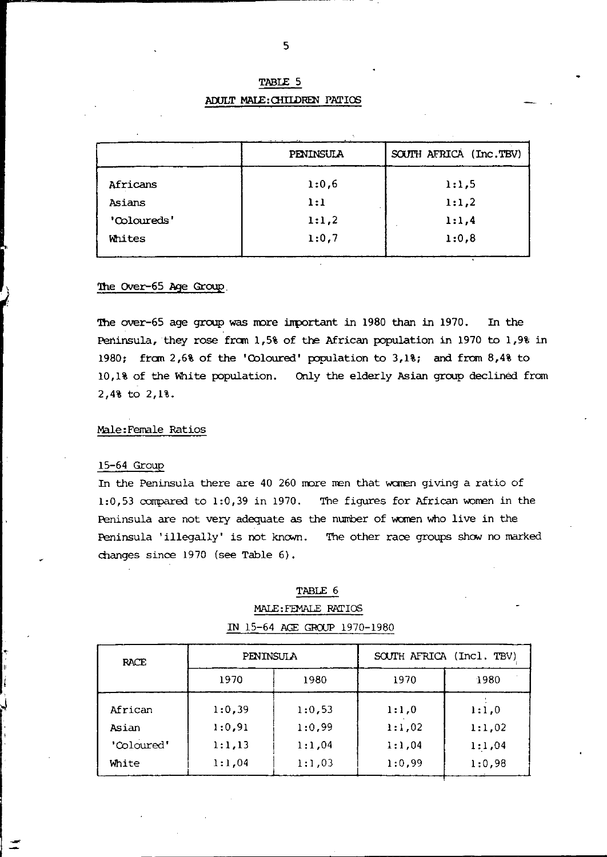# TABLE 5 ADULT MALE: CHILDREN PATIOS

|             | PENINSULA | SOUTH AFRICA (Inc.TBV) |
|-------------|-----------|------------------------|
| Africans    | 1:0,6     | 1:1.5                  |
| Asians      | 1:1       | 1:1,2                  |
| 'Coloureds' | 1:1,2     | 1:1,4                  |
| Whites      | 1:0.7     | 1:0,8                  |
|             |           |                        |

#### The Over-65 Age Group

The over-65 age group was more important in 1980 than in 1970. In the Peninsula, they rose from 1,5% of the African population in 1970 to 1,9% in 1980; from 2,6% of the 'Coloured' population to 3,1%; and from 8,4% to 10,1% of the White population. Only the elderly Asian group declined from  $2,48$  to  $2,18$ .

### Male: Female Ratios

#### 15-64 Group

In the Peninsula there are 40 260 more men that women giving a ratio of 1:0,53 compared to 1:0,39 in 1970. The figures for African women in the Peninsula are not very adequate as the number of women who live in the Peninsula 'illegally' is not known. The other race groups show no marked changes since 1970 (see Table 6).

#### TABLE 6

# MALE: FEMALE RATIOS IN 15-64 AGE GROUP 1970-1980

| RACE       | <b>PENINSULA</b> |        | SOUTH AFRICA (Incl. TBV) |        |  |  |
|------------|------------------|--------|--------------------------|--------|--|--|
|            | 1970<br>1980     |        | 1970                     | 1980   |  |  |
| African    | 1:0.39           | 1:0,53 | 1:1.0                    | 1:1.0  |  |  |
| Asian      | 1:0,91           | 1:0.99 | 1:1,02                   | 1:1,02 |  |  |
| 'Coloured' | 1:1,13           | 1:1,04 | 1:1.04                   | 1:1.04 |  |  |
| White      | 1:1.04           | 1:1,03 | 1:0.99                   | 1:0,98 |  |  |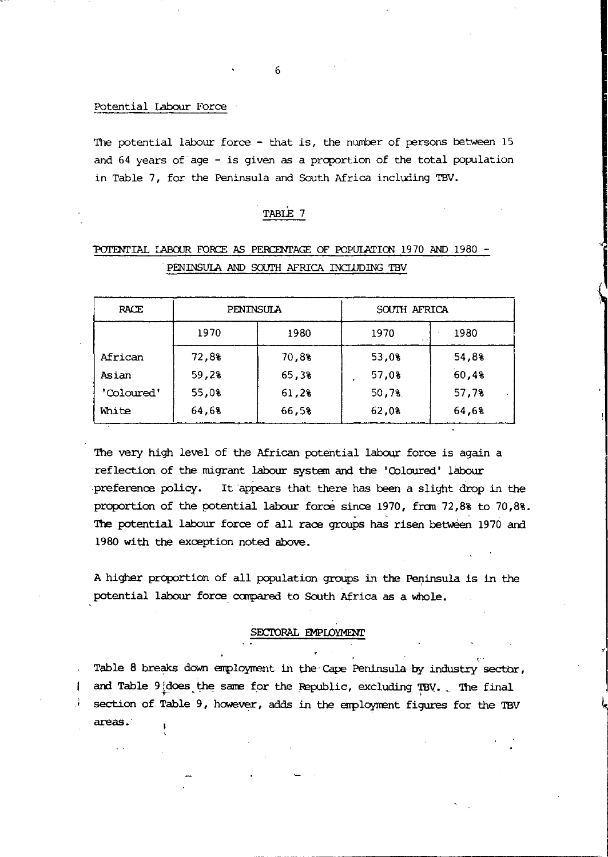### Potential Labour Force

The potential labour force - that is, the number of persons between 15 and 64 years of age - is given as a proportion of the total population in Table 7, for the Peninsula and South Africa including TBV.

## TABLE 7

# 1'CII'ENrIAL IA8CXJR FORCE AS PERCENrAGE OF POPUlATICN 1970 AND 1980 **-** PENINSULA AND SOUTH AFRICA INCLUDING TBV

| RACE       | PENINSULA |       | SOUTH AFRICA |       |
|------------|-----------|-------|--------------|-------|
|            | 1970      | 1980  | 1970         | 1980  |
| African    | 72,8%     | 70,8% | 53,0%        | 54,8% |
| Asian      | 59,28     | 65,3% | 57,0%        | 60.48 |
| 'Coloured' | 55,0%     | 61,28 | 50,78        | 57,78 |
| White      | 64,68     | 66,58 | 62,0%        | 64.68 |

The very high level of the African potential labour force is again a reflection of the migrant labour system and the 'Coloured' labour preference policy. It appears that there has been a slight drop in the proportion of the potential labour force since 1970, from 72,8% to 70,8%. The potential labour force of all race groups has risen between 1970 and 1980 with the exception noted above.

A higher proportion of all population groups in the Peninsula is in the potential labour force compared to South Africa as a whole.

## SECTORAL EMPLOYMENT

Table 8 breaks down employment in the Cape Peninsula by industry sector, | and Table 9 does the same for the Republic, excluding TBV. The final section of Table 9, however, adds in the employment figures for the TBV areas.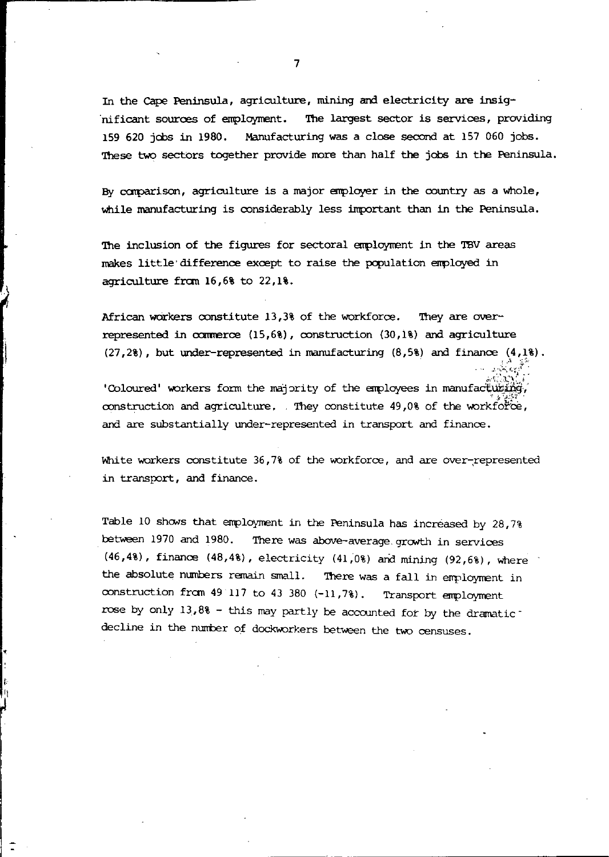In the cape Peninsula, agriculture, mining and electricity are insig- 'nificant sources of employment. '!he largest sector is services, providing 159 620 jobs in 1980. Manufacturing was a close second at 157 060 jobs. These two sectors together provide more than half the jobs in the Peninsula.

By comparison, agriculture is a major employer in the country as a whole, while manufacturing is considerably less important than in the Peninsula.

The inclusion of the figures for sectoral employment in the TBV areas makes little'difference except to raise the population enployed in agriculture from 16,6% to 22,1%.

African workers constitute  $13,38$  of the workforce. They are overrepresented in  $c$ x:merce  $(15,68)$ , construction  $(30,18)$  and agriculture  $(27.2\%)$ , but under-represented in manufacturing  $(8.5\%)$  and finance  $(4.1\%)$ .

'Coloured' workers form the majority of the employees in manufacturing, construction and agriculture. They constitute  $49.08$  of the workforce, and are substantially under-represented in transport and finance.

White workers constitute 36,7% of the workforce, and are over-represented in transport, and finance.

Table 10 shows that employment in the Peninsula has increased by  $28,7%$ between 1970 and 1980. There was above-average growth in services  $(46,48)$ , finance  $(48,48)$ , electricity  $(41,08)$  and mining  $(92,68)$ , where the absolute numbers remain small. There was a fall in employment in construction from  $49$  117 to  $43$  380  $(-11,7)$ . Transport employment rose by only 13,8% - this may partly be accounted for by the dramaticdecline in the number of dockworkers between the two censuses.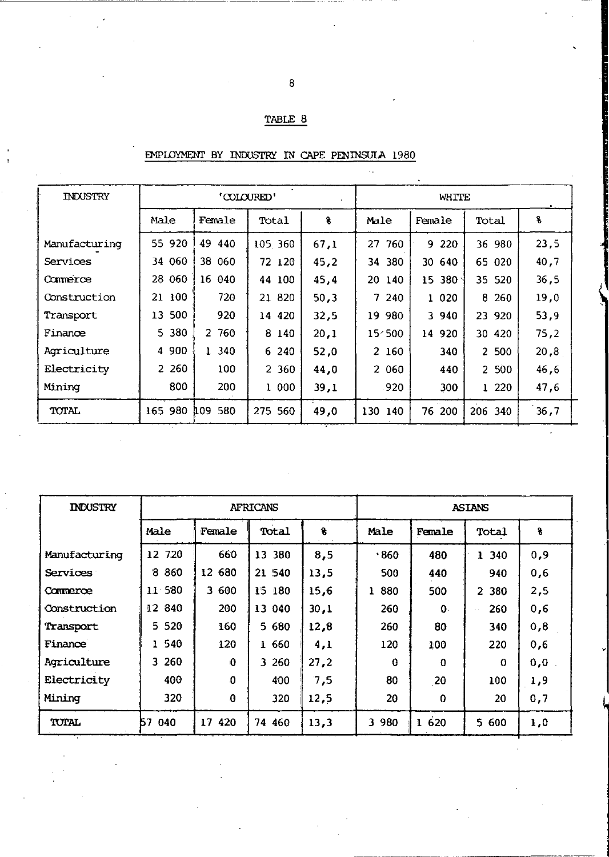# TABLE 8

| <b>INDUSTRY</b> | 'COLOURED'         |                   |          |      | WHITE      |                         |          |      |
|-----------------|--------------------|-------------------|----------|------|------------|-------------------------|----------|------|
|                 | Male               | Female            | Total    | 8    | Male       | Female                  | Total    | 8    |
| Manufacturing   | 55 920             | 49 440            | 105 360  | 67.1 | 27<br>-760 | 9 2 2 0                 | 36 980   | 23,5 |
| Services        | 34 060             | 38 060            | 72 120   | 45.2 | 34 380     | 30 640                  | 65 020   | 40,7 |
| Commerce        | 060<br>28          | 040<br>16         | 44 100   | 45.4 | 20 140     | 380 <sup>o</sup><br>15. | 35 520   | 36,5 |
| Construction    | 100<br>21          | 720               | 21 820   | 50.3 | 7<br>240   | 1 020                   | 260<br>8 | 19,0 |
| Transport       | 500<br>13.         | 920               | 14 420   | 32,5 | 980<br>19  | 3 940                   | 23 920   | 53,9 |
| Finance         | 5 380              | 2 760             | 8 140    | 20.1 | 154500     | 14 920                  | 30 420   | 75,2 |
| Agriculture     | 900<br>4           | 1340              | 240<br>6 | 52,0 | 2 160      | 340                     | 2 500    | 20,8 |
| Electricity     | 260<br>$2^{\circ}$ | 100               | 2 360    | 44,0 | 2 060      | 440                     | 2 500    | 46,6 |
| Mining          | 800                | 200               | 000<br>ı | 39,1 | .920       | 300                     | 1220     | 47,6 |
| TOTAL           | 165 980            | 580<br><b>109</b> | 275 560  | 49,0 | 130 140    | 200<br>76               | 206 340  | 36,7 |

# EMPLOYMENT BY INDUSTRY IN CAPE PENINSULA 1980

| <b>INDUSTRY</b> | <b>AFRICANS</b> |           |        | <b>ASIANS</b> |          |          |           |     |
|-----------------|-----------------|-----------|--------|---------------|----------|----------|-----------|-----|
|                 | Male            | Female    | Total  | 8             | Male     | Female   | Total     | 8   |
| Manufacturing   | 12 720          | 660       | 13 380 | 8,5           | .860     | 480      | 340<br>Ŧ. | 0.9 |
| Services:       | 8 8 6 0         | 680<br>12 | 21 540 | 13,5          | 500      | 440      | 940       | 0,6 |
| Commerce        | 11 580          | 3 600     | 15 180 | 15,6          | 880<br>ı | 500      | 2 380     | 2,5 |
| Construction    | 12 840          | 200       | 13 040 | 30.1          | 260      | ∩.       | 260       | 0,6 |
| Transport       | 5 5 20          | 160       | 5 680  | 12,8          | 260      | 80       | 340       | 0,8 |
| Finance         | 1 540           | 120       | 1660   | 4,1           | 120      | 100      | 220       | 0,6 |
| Agriculture     | 3 260           | 0         | 3 260  | 27,2          | -a       | o        | $\Omega$  | 0,0 |
| Electricity     | 400             | Ω         | 400    | 7,5           | 80       | 20       | 100       | 1,9 |
| Mining          | 320             | 0         | 320    | 12,5          | 20       | 0        | 20        | 0,7 |
| TOTAL           | 57<br>040       | 17<br>420 | 74 460 | 13,3          | 3 980    | 620<br>ı | 5 600     | 1,0 |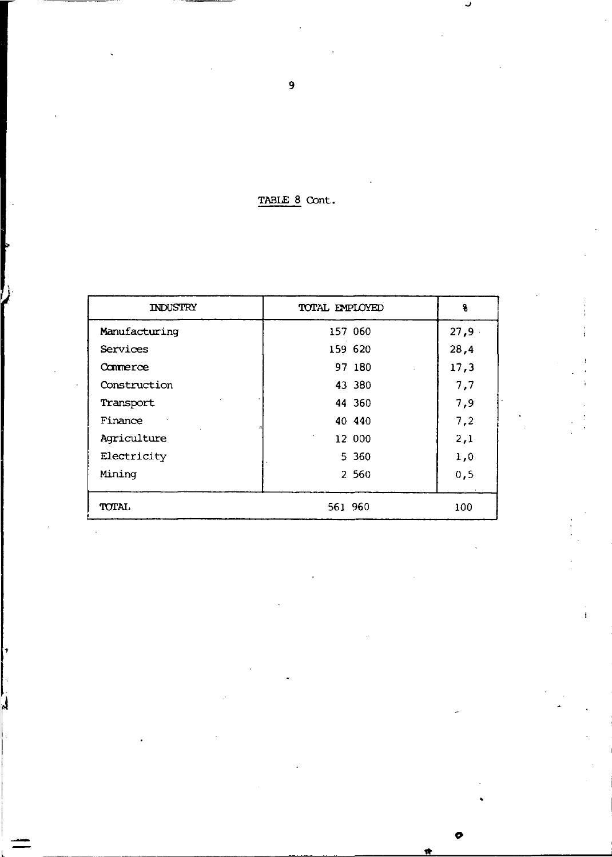TABLE 8 Cont.

| <b>INDUSTRY</b> | TOTAL EMPLOYED |         | ٩.   |
|-----------------|----------------|---------|------|
| Manufacturing   |                | 157 060 | 27,9 |
| Services        |                | 159 620 | 28,4 |
| Commerce        |                | 97 180  | 17,3 |
| Construction    |                | 43 380  | 7,7  |
| Transport       |                | 44 360  | 7,9  |
| Finance         |                | 40 440  | 7,2  |
| Agriculture     |                | 12 000  | 2,1  |
| Electricity     |                | 5 3 6 0 | 1,0  |
| Mining          |                | 2 5 6 0 | 0, 5 |
| <b>TOTAL</b>    | 561 960        |         | 100  |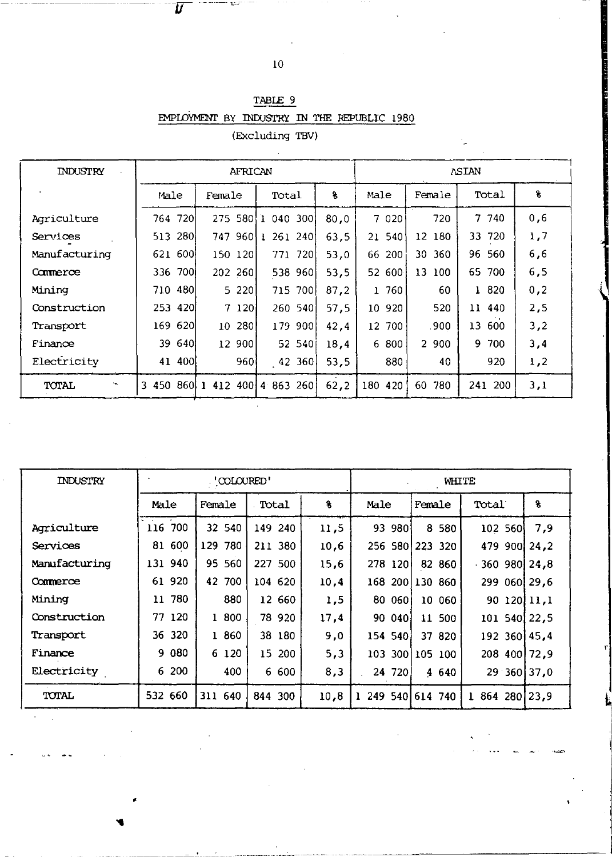$\overline{\textit{U}}$ 

TABLE 9 EMPLOYMENT BY INDUSTRY IN THE REPUBLIC 1980

(Excluding TBV)

| INDUSTRY                          |            | <b>ASIAN</b> |                               |       |         |           |           |     |
|-----------------------------------|------------|--------------|-------------------------------|-------|---------|-----------|-----------|-----|
|                                   | Male       | Female       | Total                         | s     | Male    | Female    | Total     | g   |
| Agriculture                       | 764 720    |              | 275 580 1 040 300             | 80.0  | 7 0 2 0 | 720       | 7 740     | 0,6 |
| Services                          | 280<br>513 |              | 747 960 1 261 240             | 63.5  | 21 540  | 12 180    | 33 720    | 1,7 |
| Manufacturing                     | 621 600    | 150 120      | 771 720                       | 53.0  | 66 200  | 30 360    | 96 560    | 6,6 |
| Commerce                          | 336 700    | 202 260      | 538 960                       | 53.5  | 52 600  | 13 100    | 65 700    | 6,5 |
| Mining                            | 710 480    | 5 2 2 0 1    | 715 700                       | 87.2  | 1 760   | 60        | 1 820     | 0,2 |
| Construction                      | 253 420    | 7 1201       | 260 540                       | 57.5  | 10 920  | 520       | 11 440    | 2,5 |
| Transport                         | 620<br>169 | 280 l<br>10  | 179 900                       | 42.4  | 12 700  | .900      | 13<br>600 | 3,2 |
| Finance                           | 39<br>640  | 12 900       | 52 540                        | 18,4  | 6 800   | 2 900     | 9.<br>700 | 3,4 |
| Electricity                       | 41 400     | 960l         | 42360                         | 53,5  | 880     | 40        | 920       | 1,2 |
| TOTAL<br>$\overline{\phantom{a}}$ |            |              | 3 450 860 1 412 400 4 863 260 | 62, 2 | 180 420 | 780<br>60 | 241 200   | 3,1 |

| INDUSTRY      | . 'COLOURED' |           |            |      | WHITE             |                 |                   |     |
|---------------|--------------|-----------|------------|------|-------------------|-----------------|-------------------|-----|
|               | Male         | Female    | Total      | ٩    | Male              | Female          | Total             | 8   |
| Agriculture   | 116 700      | 32 540    | 149 240    | 11,5 | 93 980            | 8 5 8 0         | 102 560           | 7.9 |
| Services      | 81 600       | 129 780   | 211 380    | 10,6 |                   | 256 580 223 320 | 479 900 24,2      |     |
| Manufacturing | 131 940      | 95 560    | 227 500    | 15,6 | 278 1201          | 82 860          | $-360$ 980 $24.8$ |     |
| Commerce      | 61 920       | 42<br>700 | 104 620    | 10,4 | 168               | 2001130 860     | 299 060 29,6      |     |
| Mining        | 11 780       | 880       | 12 660     | 1,5  | 80 060            | 10 060          | 90 120 11,1       |     |
| Construction  | 77 120       | 1 800     | 78 920     | 17,4 | 90 040            | 11 500          | 101 540 22,5      |     |
| Transport     | 36 320       | 1 860     | 38 180     | 9,0  | 154 540           | 37 820          | 192 360 45.4      |     |
| Finance       | 9 080        | 6 120     | 15 200     | 5,3  |                   | 103 300 105 100 | 208 400 72,9      |     |
| Electricity   | 6 200        | 400       | 6 600      | 8,3  | 24 720            | 4 640           | $29.360$ 37,0     |     |
| TOTAL         | 532 660      | 311 640   | 844<br>300 | 10.8 | 1 249 540 614 740 |                 | 864 280 23.9<br>ı |     |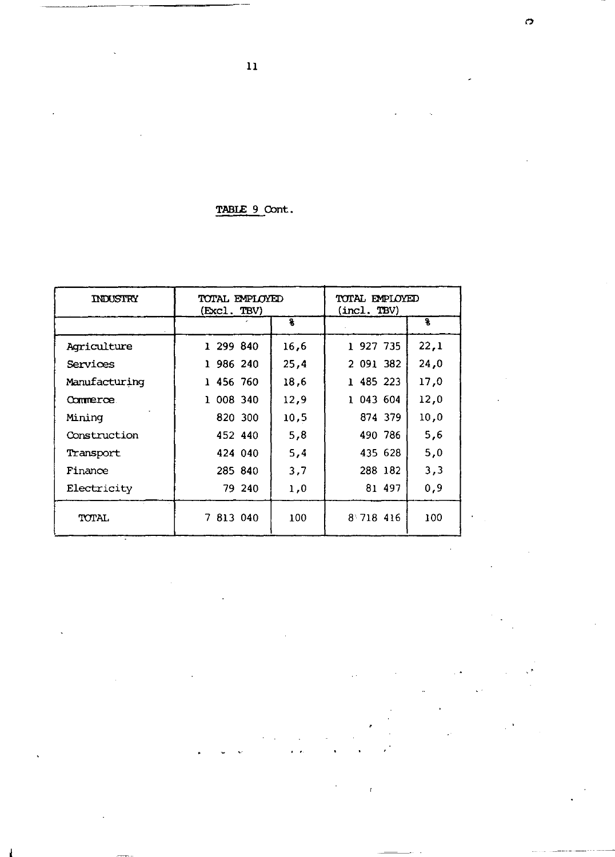| TABLE 9 Cont. |  |
|---------------|--|
|               |  |

| INDUSTRY      | TOTAL EMPLOYED<br>(Excl. TBV) |      | TOTAL EMPLOYED<br>(incl. TBV) |      |  |
|---------------|-------------------------------|------|-------------------------------|------|--|
|               |                               | 8    |                               | s    |  |
| Agriculture   | 1 299 840                     | 16.6 | 1 927 735                     | 22,1 |  |
| Services      | 986 240                       | 25.4 | 2 091 382                     | 24,0 |  |
| Manufacturing | 1 456 760                     | 18.6 | 1 485 223                     | 17,0 |  |
| Commerce.     | 1 008 340                     | 12,9 | 1 043 604                     | 12,0 |  |
| Mining        | 820 300                       | 10,5 | 874 379                       | 10,0 |  |
| Construction  | 452 440                       | 5,8  | 490 786                       | 5,6  |  |
| Transport     | 424 040                       | 5,4  | 435 628                       | 5,0  |  |
| Finance       | 285 840                       | 3,7  | 288 182                       | 3,3  |  |
| Electricity   | 79 240                        | 1.0  | 81 497                        | 0.9  |  |
| TOTAL.        | 7 813 040                     | 100  | 8 718 416                     | 100  |  |

 $\ddot{\phantom{1}}$ 

11

J.

 $\overline{a}$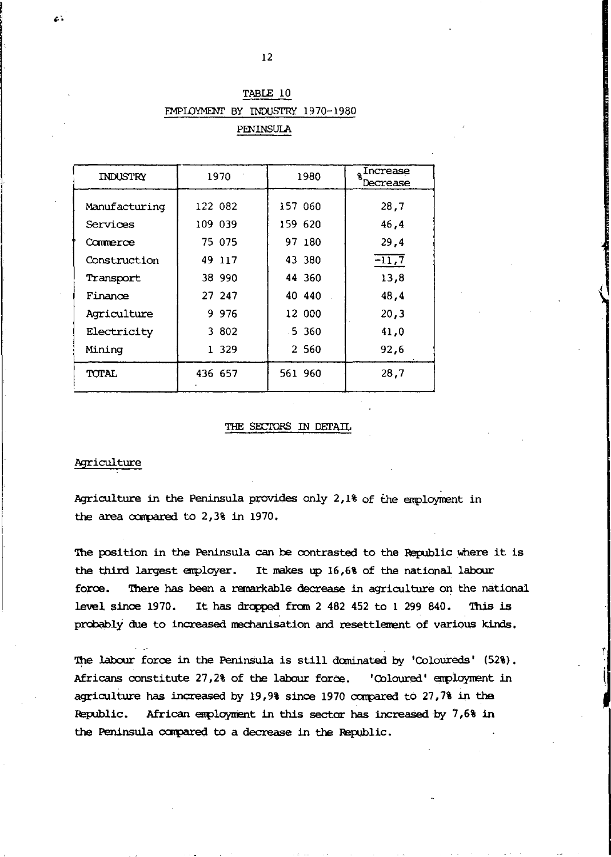| INDUSTRY      | 1970    | 1980     | Increase<br>Decrease |
|---------------|---------|----------|----------------------|
| Manufacturing | 122 082 | 157 060  | 28.7                 |
| Services      | 109 039 | 159 620  | 46.4                 |
| Commerce      | 75 075  | 97 180   | 29.4                 |
| Construction  | 49 117  | 43 380   | $-11,7$              |
| Transport     | 38 990  | 44 360   | 13,8                 |
| Finance       | 27 247  | 40 440   | 48,4                 |
| Acriculture   | 9 9 7 6 | 12 000   | 20,3                 |
| Electricity   | 3 802   | $-5,360$ | 41.0                 |
| Mining        | 1 329   | 2 5 6 0  | 92,6                 |
| TOTAL         | 436 657 | 561 960  | 28,7                 |

# TABLE 10 EMPLOYMENI' BY INDUSI'RY 1970-1980

PENINSULA

## THE SECTORS IN DETAIL

### Agriculture

z.

Agriculture in the Peninsula provides only  $2,1\$  of the employment in the area carpared to 2,3% in 1970.

The position in the Peninsula can be contrasted to the Republic where it is the third largest enployer. It makes up 16,6% of the national labour force. There has been a remarkable decrease in agriculture on the national level since 1970. It has dropped from 2 482 452 to 1 299 840. This is probably due to increased mechanisation and resettlement of various kinds.

The labour force in the Peninsula is still dominated by 'Coloureds' (52%). Africans constitute 27,2% of the labour force. 'Coloured' employment in agriculture has increased by  $19,98$  since  $1970$  compared to  $27,78$  in the Republic. African enploynent in this sector has increased by 7,6% in the Peninsula compared to a decrease in the Republic.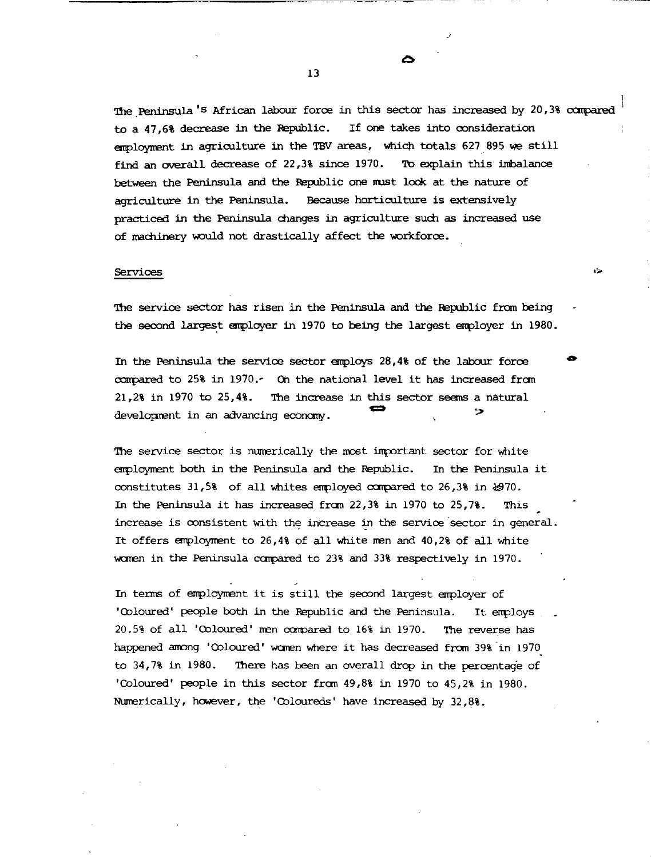The Peninsula's African labour force in this sector has increased by 20,3% compared to a 47.6% decrease in the Republic. If one takes into consideration employment in agriculture in the TBV areas, which totals 627 895 we still find an overall decrease of 22,3% since 1970. To explain this imbalance between the Peninsula and the Republic one must look at the nature of agriculture in the Peninsula. Because horticulture is extensively practiced in the Peninsula changes in agriculture such as increased use of machinery would not drastically affect the workforce.

∽

arsa.

### Services

The service sector has risen in the Peninsula and the Republic from being the second largest employer in 1970 to being the largest employer in 1980.

In the Peninsula the service sector employs 28,4% of the labour force compared to 25% in 1970. On the national level it has increased from 21,2% in 1970 to 25,4%. The increase in this sector seems a natural 55 development in an advancing economy.

The service sector is numerically the most important sector for white employment both in the Peninsula and the Republic. In the Peninsula it constitutes 31,5% of all whites employed compared to 26,3% in &970. In the Peninsula it has increased from  $22,38$  in 1970 to  $25,78$ . This increase is consistent with the increase in the service sector in general. It offers employment to 26,4% of all white men and 40,2% of all white women in the Peninsula compared to 23% and 33% respectively in 1970.

In terms of employment it is still the second largest employer of 'Coloured' people both in the Republic and the Peninsula. It employs 20.5% of all 'Coloured' men compared to 16% in 1970. The reverse has happened among 'Coloured' women where it has decreased from 39% in 1970 to 34,7% in 1980. There has been an overall drop in the percentage of 'Coloured' people in this sector from 49,8% in 1970 to 45,2% in 1980. Numerically, however, the 'Coloureds' have increased by 32,8%.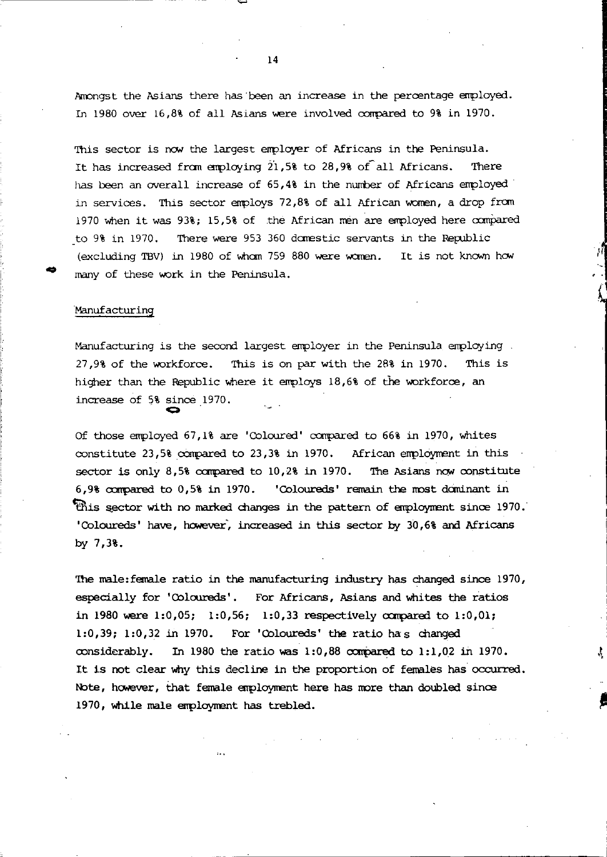Amongst the Asians there has been an increase in the percentage employed. In 1980 over 16.8% of all Asians were involved compared to 9% in 1970.

This sector is now the largest employer of Africans in the Peninsula. It has increased from employing 21,5% to 28.9% of all Africans. There has been an overall increase of 65,4% in the number of Africans employed in services. This sector employs 72,8% of all African women, a drop from 1970 when it was 93%; 15,5% of the African men are employed here compared There were 953 360 domestic servants in the Republic to 9% in 1970. (excluding TBV) in 1980 of whom 759 880 were women. It is not known how many of these work in the Peninsula.

## Manufacturing

Manufacturing is the second largest employer in the Peninsula employing. 27,9% of the workforce. This is on par with the 28% in 1970. This is higher than the Republic where it employs 18,6% of the workforce, an increase of 5% since 1970.

Of those employed 67,1% are 'Coloured' compared to 66% in 1970, whites constitute  $23.5$ % compared to  $23.3$ % in 1970. African employment in this The Asians now constitute sector is only 8,5% compared to 10,2% in 1970. 6.9% compared to 0.5% in 1970. 'Coloureds' remain the most dominant in This sector with no marked changes in the pattern of employment since 1970. 'Coloureds' have, however, increased in this sector by 30,6% and Africans by  $7,38.$ 

The male: female ratio in the manufacturing industry has changed since 1970, especially for 'Coloureds'. For Africans, Asians and whites the ratios in 1980 were 1:0,05; 1:0,56; 1:0,33 respectively compared to 1:0,01; 1:0,39; 1:0,32 in 1970. For 'Coloureds' the ratio has changed In 1980 the ratio was 1:0,88 compared to 1:1,02 in 1970. considerably. It is not clear why this decline in the proportion of females has occurred. Note, however, that female employment here has more than doubled since 1970, while male employment has trebled.

 $\mathbf{1}$   $\mathbf{A}$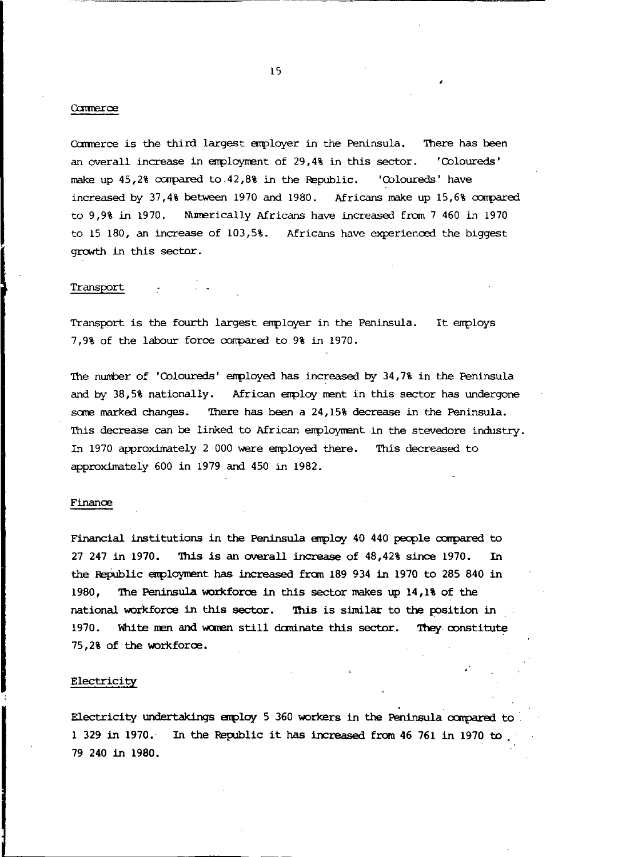#### Commerce

Commerce is the third largest employer in the Peninsula. There has been an overall increase in employment of 29,4% in this sector. 'Coloureds' make up 45,2% compared to 42,8% in the Republic. 'Coloureds' have increased by 37,4% between 1970 and 1980. Africans make up 15,6% compared to 9,9% in 1970. Numerically Africans have increased from 7 460 in 1970 to 15 180, an increase of 103,5%. Africans have experienced the biggest growth in this sector.

#### Transport

Transport is the fourth largest employer in the Peninsula. It employs 7,9% of the labour force compared to 9% in 1970.

The number of 'Coloureds' employed has increased by 34,7% in the Peninsula and by 38.5% nationally. African employ ment in this sector has undergone some marked changes. There has been a 24,15% decrease in the Peninsula. This decrease can be linked to African employment in the stevedore industry. In 1970 approximately 2 000 were employed there. This decreased to approximately 600 in 1979 and 450 in 1982.

#### Finance

Financial institutions in the Peninsula employ 40 440 people compared to 27 247 in 1970. This is an overall increase of  $48,428$  since 1970. In the Republic employment has increased from 189 934 in 1970 to 285 840 in 1980. The Peninsula workforce in this sector makes up 14,1% of the national workforce in this sector. This is similar to the position in 1970. White men and women still dominate this sector. They constitute 75.2% of the workforce.

### Electricity

Electricity undertakings employ 5 360 workers in the Peninsula compared to 1 329 in 1970. In the Republic it has increased from 46 761 in 1970 to. 79 240 in 1980.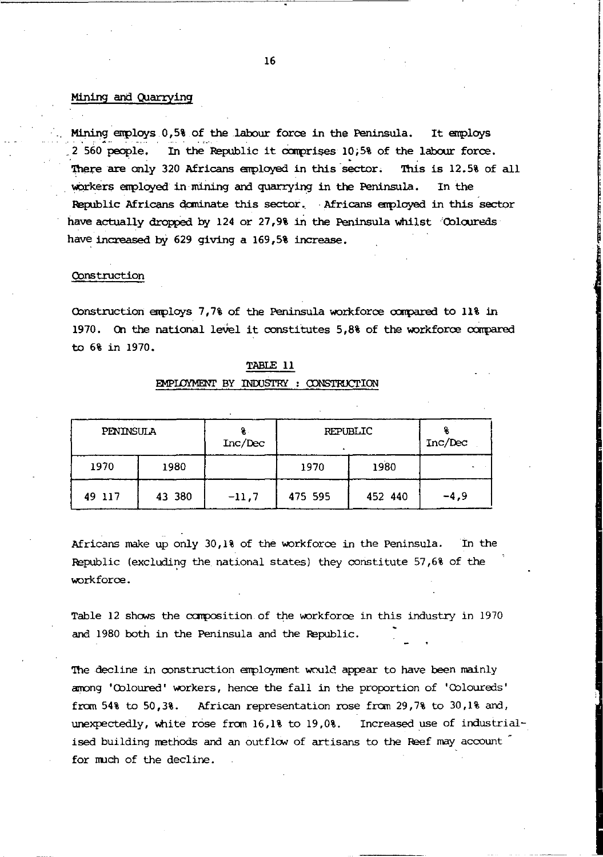#### Mining and Quarrying

Mining employs 0,5% of the labour force in the Peninsula. It employs 2 560 people. In the Republic it comprises 10,5% of the labour force. There are only 320 Africans employed in this sector. This is 12.5% of all workers employed in mining and quarrying in the Peninsula. In the Republic Africans dominate this sector. Africans employed in this sector have actually dropped by 124 or 27,9% in the Peninsula whilst Coloureds have increased by 629 giving a 169,5% increase.

#### Construction

Construction employs 7,7% of the Peninsula workforce compared to 11% in 1970. On the national level it constitutes 5,8% of the workforce compared to 6% in 1970.

| <b>PENINSULA</b> |        | Inc/Dec | REPUBLIC |         | Inc/Dec |
|------------------|--------|---------|----------|---------|---------|
| 1970             | 1980   |         | 1970     | 1980    |         |
| 49 117           | 43 380 | $-11,7$ | 475 595  | 452 440 | $-4,9$  |

# TABLE 11 EMPLOYMENT BY INDUSTRY : CONSTRUCTION

Africans make up only 30,1% of the workforce in the Peninsula. In the Republic (excluding the national states) they constitute 57,6% of the workforce.

Table 12 shows the composition of the workforce in this industry in 1970 and 1980 both in the Peninsula and the Republic.

The decline in construction employment would appear to have been mainly among 'Coloured' workers, hence the fall in the proportion of 'Coloureds' from 54% to 50,3%. African representation rose from 29,7% to 30,1% and, unexpectedly, white rose from 16,1% to 19,0%. Increased use of industrialised building methods and an outflow of artisans to the Reef may account for much of the decline.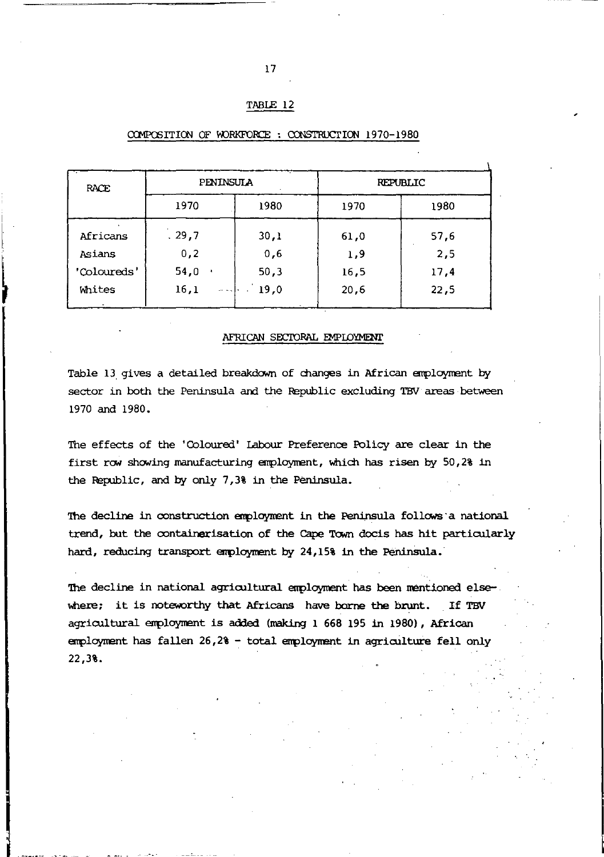# TABLE 12

| <b>RACE</b> | <b>PENINSULA</b>  |      |      | <b>REPUBLIC</b> |  |
|-------------|-------------------|------|------|-----------------|--|
| 1970        |                   | 1980 | 1970 | 1980            |  |
| Africans    | .29,7             | 30,1 | 61,0 | 57,6            |  |
| Asians      | 0,2               | 0,6  | 1,9  | 2,5             |  |
| 'Coloureds' | 54,0<br>٠         | 50,3 | 16,5 | 17,4            |  |
| Whites      | 16,1<br>المعاملات | 19.0 | 20,6 | 22,5            |  |

### COMPOSITION OF WORKFORCE: CONSTRUCTION 1970-1980

#### AFRICAN SECTORAL EMPLOYMENT

Table 13 gives a detailed breakdown of changes in African employment by sector in both the Peninsula and the Republic excluding TBV areas between 1970 and 1980.

The effects of the 'Coloured' Labour Preference Policy are clear in the first row showing manufacturing employment, which has risen by 50,2% in the Republic, and by only 7,3% in the Peninsula.

The decline in construction employment in the Peninsula follows a national trend, but the containerisation of the Cape Town docis has hit particularly hard, reducing transport employment by 24,15% in the Peninsula.

The decline in national agricultural employment has been mentioned elsewhere; it is noteworthy that Africans have borne the brunt. If TBV agricultural employment is added (making 1 668 195 in 1980), African employment has fallen 26,2% - total employment in agriculture fell only 22,3%.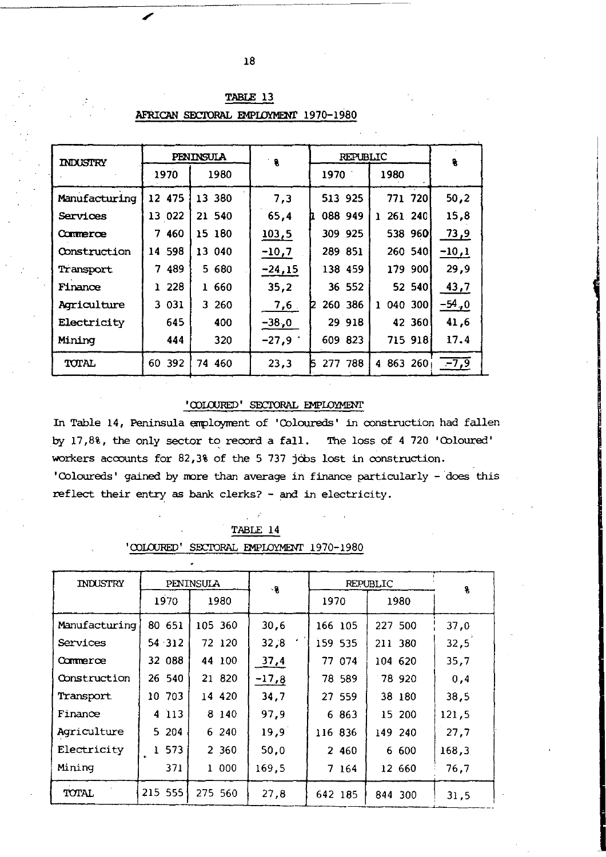| <b>INDUSTRY</b> |           | PENINSULA | ୍ଥ       | <b>REPUBLIC</b> |                         | 8       |
|-----------------|-----------|-----------|----------|-----------------|-------------------------|---------|
|                 | 1970      | 1980      | 1970     |                 | 1980                    |         |
| Manufacturing   | 12 475    | 13 380    | 7,3      | 513 925         | 771 720                 | 50,2    |
| Services        | 13 022    | 21 540    | 65,4     | 088 949         | 261 240<br>ı.           | 15,8    |
| Commerce        | 460<br>7  | 15 180    | 103,5    | 309 925         | 538 960                 | 73,9    |
| Construction    | 14 598    | 13 040    | $-10,7$  | 289 851         | 260 540                 | $-10,1$ |
| Transport       | 489<br>7  | 5 680     | $-24,15$ | 138 459         | 179 900                 | 29.9    |
| Finance         | 228<br>ı. | 1 660     | 35.2     | 36 552          | 52 540                  | 43,7    |
| Agriculture     | 3 031     | 3 260     | 7,6      | 260 386<br>12   | 040 300<br><sup>1</sup> | -54,0   |
| Electricity     | 645       | 400       | $-38,0$  | 29 918          | 42 360                  | 41,6    |
| Mining          | 444       | 320       | $-27,9$  | 609 823         | 715 918                 | 17.4    |
| TOTAL           | 60 392    | 74 460    | 23,3     | 788<br>k<br>277 | 4 863 260               | $-7,9$  |

TABLE 13 AFRICAN SECTORAL EMPLOYMENT 1970-1980

### 'OOLOURED' SECTORAL EMPLOYMENT

In Table 14, Peninsula employment of 'Coloureds' in construction had fallen by 17,8%, the only sector to record a fall. The loss of 4 720 'Coloured' workers accounts for 82,3% of the 5 737 jobs lost in construction. 'Coloureds' gained by more than average in finance particularly - does this reflect their entry as bank clerks? - and in electricity.

| 'COLOURED'<br>SECTORAL EMPLOYMENT<br>1970-1980 |           |           |         |         |          |       |  |  |  |
|------------------------------------------------|-----------|-----------|---------|---------|----------|-------|--|--|--|
|                                                |           |           |         |         |          |       |  |  |  |
| INDUSTRY                                       |           | PENINSULA | -8      |         | REPUBLIC | 8     |  |  |  |
|                                                | 1970      | 1980      |         | 1970    | 1980     |       |  |  |  |
| Manufacturing                                  | 80 651    | 105 360   | 30,6    | 166 105 | 227 500  | 37,0  |  |  |  |
| Services                                       | 54 312    | 72 120    | 32,8    | 159 535 | 211 380  | 32,5  |  |  |  |
| Commerce                                       | 32 088    | 44 100    | 37,4    | 77 074  | 104 620  | 35,7  |  |  |  |
| Construction                                   | 26 540    | 21 820    | $-17,8$ | 78 589  | 78 920   | 0.4   |  |  |  |
| Transport                                      | 10 703    | 14 420    | 34,7    | 27 559  | 38 180   | 38.5  |  |  |  |
| Finance                                        | 4 113     | 8 140     | 97.9    | 6 863   | 15 200   | 121,5 |  |  |  |
| Agriculture                                    | 5.<br>204 | 6 240     | 19.9    | 116 836 | 149 240  | 27,7  |  |  |  |
| Electricity                                    | 573       | 2 3 6 0   | 50.0    | 2 460   | 6 600    | 168.3 |  |  |  |
| Mining                                         | 371       | 1 000     | 169.5   | 7 164   | 12 660   | 76,7  |  |  |  |
| TOTAL                                          | 215 555   | 275 560   | 27.8    | 642 185 | 844 300  | 31.5  |  |  |  |

TABLE 14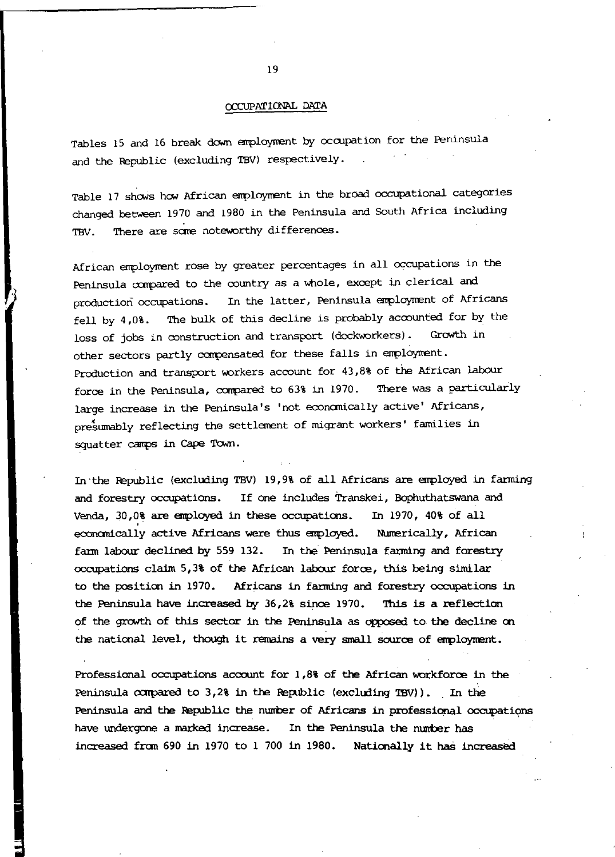#### CCCUPATICW\L DATA

Tables 15 and 16 break down employment by occupation for the Peninsula and the Republic (excluding TBV) respectively.

Table 17 shows how African employment in the broad occupational categories changed between 1970 and 1980 in the Peninsula and South Africa including TBV. There are some noteworthy differences.

African employnent rose by greater percentages in all occupations in the Peninsula compared to the country as a whole, except in clerical and production occupations. In the latter, Peninsula employment of Africans fell by  $4,0$ %. The bulk of this decline is probably accounted for by the loss of jobs in ronstruction and transport (dockworkers). Growth in other sectors partly compensated for these falls in errployment. Production and transport workers account for 43,8% of the African labour force in the Peninsula, corrpared to 63% in 1970. There was a particularly large increase in the Peninsula's 'not economically active' Africans, presumably reflecting the settlement of migrant workers' families in squatter camps in Cape Town.

In -the Pepublic (excluding TBV) 19,9% of all Africans are employed. in farming and forestry occupations. If one includes Transkei, Bophuthatswana and Venda, 30,0% are employed in these occupations. In 1970, 40% of all economically active Africans were thus employed. Numerically, African fann labour declined by 559 132. In the Peninsula fanning and forestry  $occupations claim 5,3% of the African labour force, this being similar$ to the position in 1970. Africans in farming and forestry occupations in the Peninsula have increased by 36,2% since 1970. This is a reflection of the growth of this sector in the Peninsula as opposed to the decline on the national level, though it remains a very small source of enployrrent.

Professional occupations account for  $1,88$  of the African workforce in the Peninsula compared to 3,2% in the Republic (excluding TBV)). In the Peninsula and the Republic the number of Africans in professional occupations have undergone a marked increase. In the Peninsula the number has increased from 690 in 1970 to 1 700 in 1980. Nationally it has increased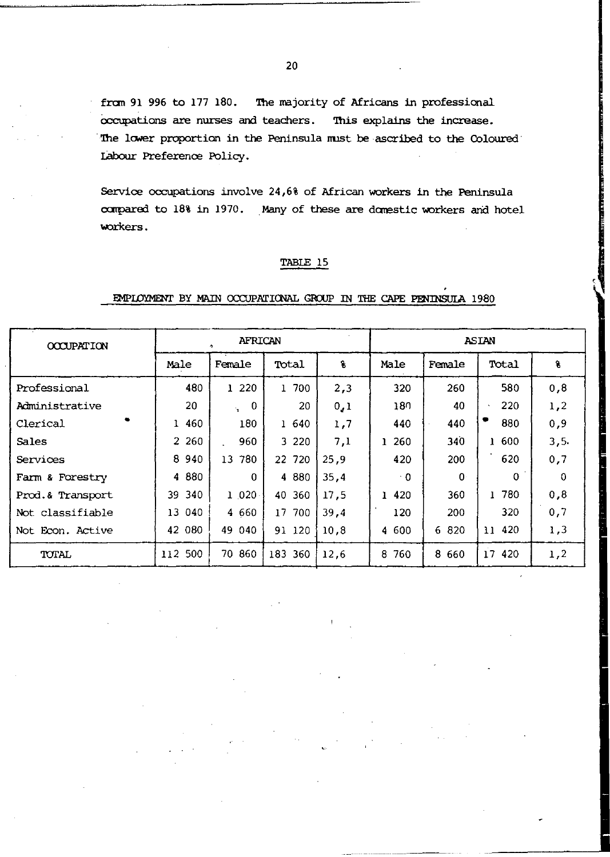from 91 996 to 177 180. The majority of Africans in professional occupations are nurses and teachers. This explains the increase. The lower proportion in the Peninsula must be ascribed to the Coloured Labour Preference Policy.

Service occupations involve 24,6% of African workers in the Peninsula compared to 18% in 1970. Many of these are domestic workers and hotel workers.

# TABLE 15

### EMPLOYMENT BY MAIN OCCUPATIONAL GROUP IN THE CAPE PENINSULA 1980

| <b>OCCUPATION</b> | <b>AFRICAN</b> |                 |         |      | <b>ASIAN</b> |          |                              |          |
|-------------------|----------------|-----------------|---------|------|--------------|----------|------------------------------|----------|
|                   | Male           | Female          | Total   | s    | Male         | Female   | Total                        | g        |
| Professional      | 480            | 1 2 2 0         | 1 700   | 2,3  | 320          | 260      | 580                          | 0,8      |
| Administrative    | 20             | $\Omega$<br>'n. | 20      | 0,1  | 180          | 40       | 220<br>$\tilde{\phantom{a}}$ | 1,2      |
| Clerical          | 1 460          | 180             | 1 640   | 1,7  | 440          | 440      | 880                          | 0, 9     |
| Sales             | 2 260          | 960             | 3 2 2 0 | 7,1  | 1 260        | 340      | 1 600                        | 3, 5.    |
| Services          | 8<br>940       | 780<br>13       | 22 720  | 25.9 | 420          | 200      | 620                          | 0,7      |
| Farm & Forestry   | 4 880          | $\Omega$        | 4 8 8 0 | 35,4 | ÷ 0.         | $\Omega$ | $\Omega$                     | $\Omega$ |
| Prod.& Transport  | 340<br>39      | 1020            | 40 360  | 17.5 | 1 420        | 360      | 1 780                        | 0,8      |
| Not classifiable  | 13 040         | 4 660           | 17 700  | 39.4 | 120          | 200      | 320                          | 0,7      |
| Not Econ. Active  | 42 080         | 49 040          | 91 120  | 10.8 | 4 600        | 6 820    | 420<br>$\mathbf{11}$         | 1,3      |
| TOTAL             | 112 500        | 70 860          | 183 360 | 12.6 | 760<br>8     | 8 6 6 0  | 17<br>420                    | 1,2      |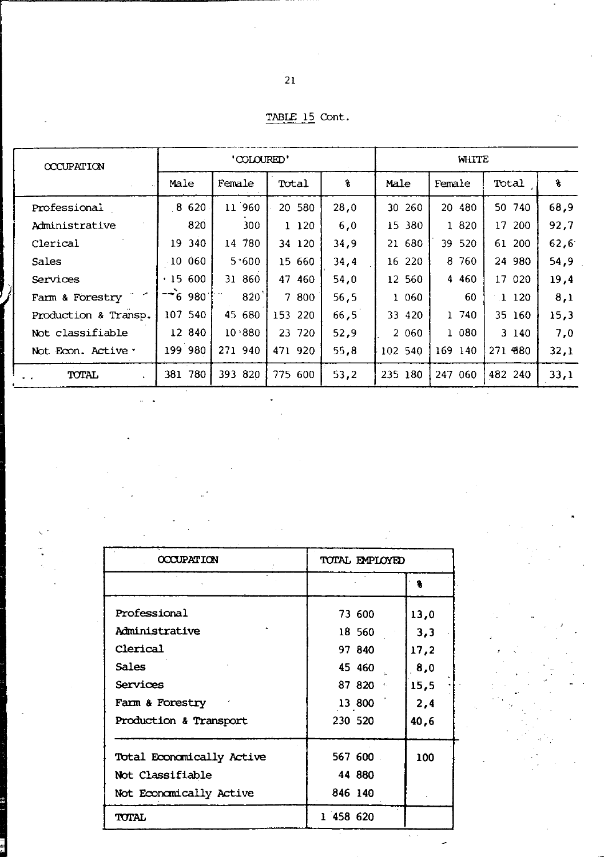| TABLE 15 Cont. |  |
|----------------|--|
|                |  |

| <b>OCCUPATION</b>    | 'COLOURED' |                 |           |      | WHITE     |         |                         |      |
|----------------------|------------|-----------------|-----------|------|-----------|---------|-------------------------|------|
|                      | Male       | Female          | Total     | 8    | Male      | Female  | Total                   | s.   |
| Professional         | 8 6 20     | 11 960          | 20 580    | 28.0 | 30 260    | 20 480  | 50 740                  | 68.9 |
| Administrative       | 820        | 300             | 1 120     | 6,0  | 380<br>15 | 1 820   | 17 <sup>2</sup><br>-200 | 92,7 |
| Clerical             | 340<br>19  | 780<br>14       | 34 120    | 34,9 | 21 680    | 39 520  | 61<br>200               | 62,6 |
| Sales                | 10 060     | 5.600           | 15 660    | 34,4 | 16 220    | 8 760   | 24 980                  | 54,9 |
| Services             | .15600     | 31 860          | 47<br>460 | 54,0 | 12 560    | 4 4 6 0 | 17 <sup>2</sup><br>020  | 19,4 |
| Farm & Forestry      | $-6980$    | $820^{\degree}$ | 7 800     | 56,5 | 1 060     | 60      | 1 120                   | 8,1  |
| Production & Transp. | 107 540    | 45<br>680       | 153 220   | 66,5 | 33 420    | 1 740   | 35 160                  | 15,3 |
| Not classifiable     | 12 840     | 10.880          | 23 720    | 52.9 | 2 060     | 1 080   | 3 140                   | 7,0  |
| Not Econ. Active *   | 199 980    | 271 940         | 471 920   | 55,8 | 102 540   | 169 140 | 271 680                 | 32,1 |
| <b>TOTAL</b>         | 381 780    | 393 820         | 775 600   | 53,2 | 235 180   | 247 060 | 482 240                 | 33,1 |

.

| <b>OCCUPATION</b>         | TOTAL EMPLOYED |      |  |
|---------------------------|----------------|------|--|
|                           |                | ۹    |  |
| Professional              | 73 600         | 13,0 |  |
| Administrative            | 18 560         | 3,3  |  |
| Clerical                  | 97 840         | 17,2 |  |
| Sales                     | 45 460         | 8,0  |  |
| Services                  | 87 820 %       | 15,5 |  |
| Farm & Forestry           | 13 800         | 2,4  |  |
| Production & Transport    | 230 520        | 40,6 |  |
| Total Economically Active | 567 600        | 100  |  |
| Not Classifiable          | 44 880         |      |  |
| Not Economically Active   | 846 140        |      |  |
| TOTAL                     | 1 458 620      |      |  |

 $\frac{1}{2}$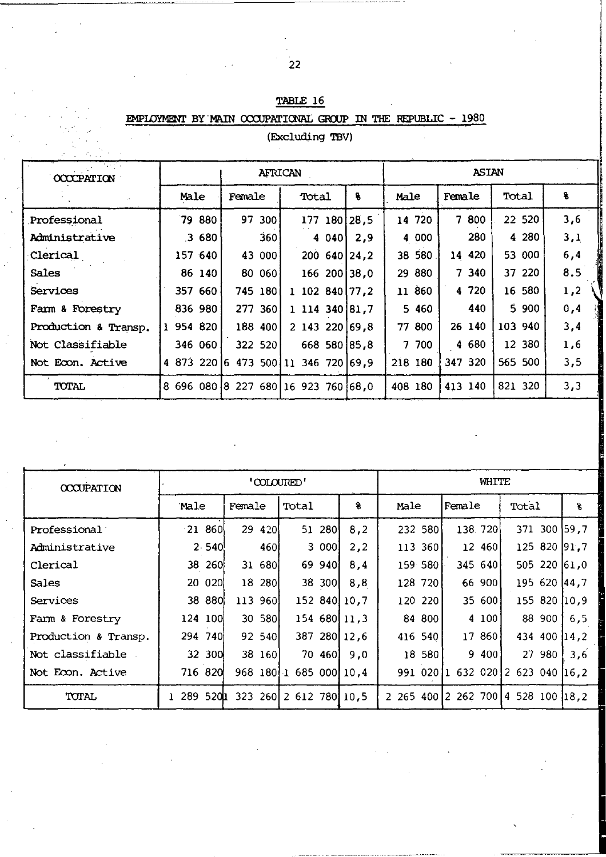| <b>Carl Park Co</b>         |         |                                     |                |         |         |         |     |
|-----------------------------|---------|-------------------------------------|----------------|---------|---------|---------|-----|
| 62 P.U<br><b>OCCCPATION</b> |         | <b>AFRICAN</b>                      | <b>ASIAN</b>   |         |         |         |     |
|                             | Male    | Female<br>Total                     | 8              | Male    | Female  | Total   | 8   |
| Professional                | 79 880  | 97 300                              | 177 180 28,5   | 14 720  | 7 800   | 22 520  | 3,6 |
| Administrative              | 3680    | 360                                 | 40401<br>2,9   | 4 000   | 280     | 4 2 8 0 | 3,1 |
| Clerical                    | 157 640 | 43 000                              | 200 640 24,2   | 38 580  | 14 420  | 53 000  | 6,4 |
| Sales                       | 86 140  | 80 060                              | 166 200 38,0   | 29 880  | 7340    | 37 220  | 8.5 |
| Services                    | 357 660 | 745 180                             | 1 102 840 77.2 | 11 860  | 4 7 2 0 | 16 580  | 1,2 |
| Farm & Forestry             | 836 980 | 277 360                             | 1 114 340 81.7 | 5 4 6 0 | 440     | 5900    | 0,4 |
| Production & Transp.        | 954 820 | 188 400                             | 2 143 220 69.8 | 77 800  | 26 140  | 103 940 | 3,4 |
| Not Classifiable            | 346 060 | 322 520                             | 668 580 85,8   | 7 700   | 4 680   | 12 380  | 1,6 |
| Not Econ. Active            |         | 4 873 220 6 473 500 11 346 720 69.9 |                | 218 180 | 347 320 | 565 500 | 3,5 |
| TOTAL                       |         | 8 696 080 8 227 680 16 923 760 68,0 |                | 408 180 | 413 140 | 821 320 | 3,3 |

# TABLE 16 EMPIOYMENT BY MAIN COCUPATIONAL GROUP IN THE REPUBLIC -  $1980$

(Excluding TBV)

| <b>OCCUPATION</b>    |           | 'COLOURED' |                        |     |         | WHITE   |                                    |      |  |
|----------------------|-----------|------------|------------------------|-----|---------|---------|------------------------------------|------|--|
|                      | Male      | Female     | Total                  | 8   | Male    | Female  | Total                              | 8    |  |
| Professional         | $-21,860$ | 29 420     | 51 280                 | 8.2 | 232 580 | 138.720 | 371 300 59.7                       |      |  |
| Administrative       | 2.540     | 460        | 3 000l                 | 2,2 | 113 360 | 12 460  | 125 820 91.7                       |      |  |
| Clerical             | 38 260    | 31 680     | 69 940                 | 8,4 | 159 580 | 345 640 | 505 220 61.0                       |      |  |
| Sales                | 20 020    | 18 280     | 38 300                 | 8,8 | 128 720 | 66 900  | 195 620 44.7                       |      |  |
| Services             | 38 880    | 113 960    | 152 840 10,7           |     | 120 220 | 35 600  | 155 820 10.9                       |      |  |
| Farm & Forestry      | 124 100   | 30 580     | 154 680 11.3           |     | 84 800  | 4 100   | 88 900                             | 6.5  |  |
| Production & Transp. | 294 740   | 92 540     | 387 280 12,6           |     | 416 540 | 17 860  | 434 400 14.2                       |      |  |
| Not classifiable     | 32 300    | 38 160     | 70 460                 | 9,0 | 18 580  | 9 400   | 27 980                             | 3.6  |  |
| Not Econ. Active     | 716 820   |            | 968 180 1 685 000 10.4 |     |         |         | 991 02011 632 02012 623 040        | 16.2 |  |
| TOTAL                | 289 5201  |            | 323 260 2 612 780 10.5 |     |         |         | 2 265 400 2 262 700 4 528 100 18.2 |      |  |

-- - - - --- \_\_ ~~ \_\_ *\_* <sup>~</sup>*\_\_\_\_ r\_* 

,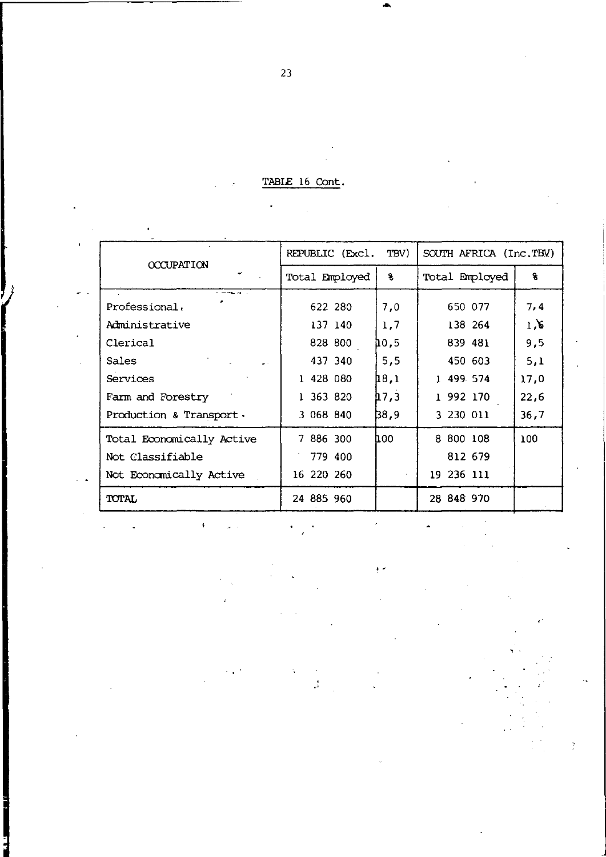TABLE 16 Cont.

|                           | TBV)            |                        |            |  |            |                |      |
|---------------------------|-----------------|------------------------|------------|--|------------|----------------|------|
| <b>OCCUPATION</b>         | REPUBLIC (Excl. | SOUTH AFRICA (Inc.TBV) |            |  |            |                |      |
|                           | Total Employed  |                        | ¥          |  |            | Total Employed | ٩    |
| $        -$               |                 |                        |            |  |            |                |      |
| Professional.             |                 | 622 280                | 7.0        |  | 650 077    |                | 7,4  |
| Administrative            |                 | 137 140                | 1.7        |  | 138 264    |                | 1.6  |
| Clerical                  |                 | 828 800                | 10.5       |  | 839 481    |                | 9,5  |
| Sales                     |                 | 437 340                | 5,5        |  | 450 603    |                | 5,1  |
| Services                  | 1 428 080       |                        | 18.1       |  | 1 499 574  |                | 17.0 |
| Farm and Forestry         | 1 363 820       |                        | 17.3       |  | 1 992 170  |                | 22,6 |
| Production & Transport.   | 3 068 840       |                        | B8,9       |  | 3 230 011  |                | 36,7 |
| Total Economically Active | 7 886 300       |                        | <b>100</b> |  | 8 800 108  |                | 100  |
| Not Classifiable          |                 | 779 400                |            |  | 812 679    |                |      |
| Not Economically Active   | 16 220 260      |                        |            |  | 19 236 111 |                |      |
| <b>TOTAL</b>              | 24 885 960      |                        |            |  | 28 848 970 |                |      |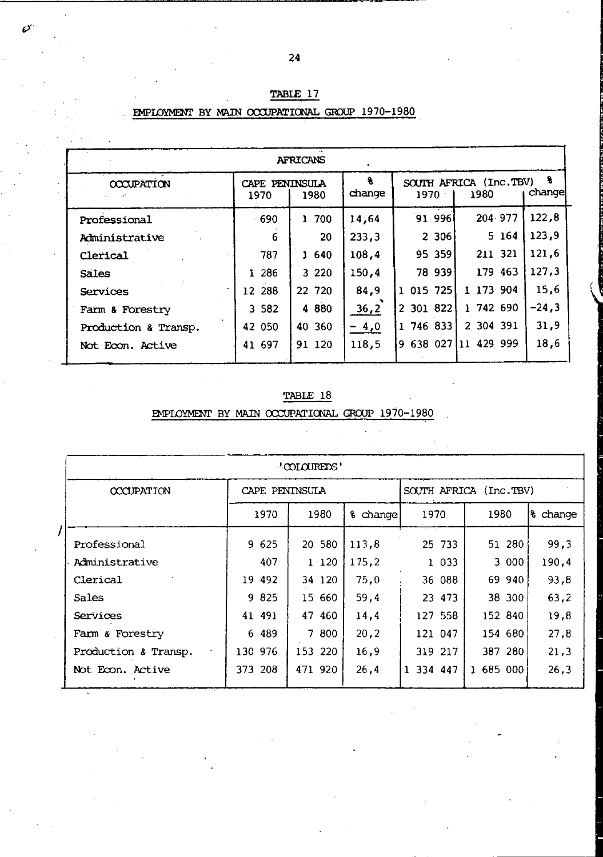| <b>AFRICANS</b>      |                        |          |              |           |                                |              |  |  |
|----------------------|------------------------|----------|--------------|-----------|--------------------------------|--------------|--|--|
| <b>OCCUPATION</b>    | CAPE PENINSULA<br>1970 | 1980     | ٠.<br>change | 1970      | SOUTH AFRICA (Inc.TBV)<br>1980 | -8<br>change |  |  |
| Professional         | $-690$                 | 700<br>ı | 14,64        | 91996     | 204 977                        | 122.8        |  |  |
| Administrative       | 6                      | 20       | 233.3        | 2 306     | 5 164                          | 123.9        |  |  |
| Clerical             | 787                    | 1 640    | 108,4        | 95 359    | 211 321                        | 121,6        |  |  |
| Sales                | 1 286                  | 3 2 2 0  | 150,4        | 78 939    | 179 463                        | 127.3        |  |  |
| Services             | 12 288                 | 22 720   | 84.9         | 1 015 725 | 1 173 904                      | 15,6         |  |  |
| Farm & Forestry      | 3 5 8 2                | 4 8 8 0  | 36,2         | 2 301 822 | 1 742 690                      | $-24.3$      |  |  |
| Production & Transp. | 42 050                 | 40 360   | $-4,0$       | 1 746 833 | 2 304 391                      | 31,9         |  |  |
| Not Econ. Active     | 41 697                 | 91 120   | 118,5        |           | 9 638 027 11 429 999           | 18,6         |  |  |
|                      |                        |          |              |           |                                |              |  |  |

# TABLE 17 EMPLOYMENT BY MAIN OCCUPATIONAL GROUP 1970-1980

Ď

# TABLE 18

EMPLOYMENT BY MAIN OCCUPATIONAL GROUP 1970-1980

| "COLOUREDS"          |                |         |          |                        |              |          |  |  |
|----------------------|----------------|---------|----------|------------------------|--------------|----------|--|--|
| <b>CCCUPATION</b>    | CAPE PENINSULA |         |          | SOUTH AFRICA (Inc.TBV) |              |          |  |  |
|                      | 1970           | 1980    | & change | 1970                   | 1980         | & change |  |  |
| Professional         | 9 625          | 20 580  | 113,8    | 25 733                 | 51 280       | 99,3     |  |  |
| Administrative       | 407            | 1120    | 175.2    | 1 033                  | 3 000        | 190.4    |  |  |
| Clerical             | 19 492         | 34 120  | 75.0     | 36 088                 | 69 940       | 93,8     |  |  |
| Sales                | 9825           | 15 660  | 59.4     | 23 473                 | 38 300       | 63.2     |  |  |
| Services             | 41 491         | 47 460  | 14,4     | 127 558                | 152 840      | 19.8     |  |  |
| Farm & Forestry      | 6 489          | 7800    | 20,2     | 121 047                | 154 680      | 27.8     |  |  |
| Production & Transp. | 130 976        | 153 220 | 16.9     | 319 217                | 387 280      | 21,3     |  |  |
| Not Econ. Active     | 373 208        | 471 920 | 26,4     | 334 447                | 685 000<br>ı | 26.3     |  |  |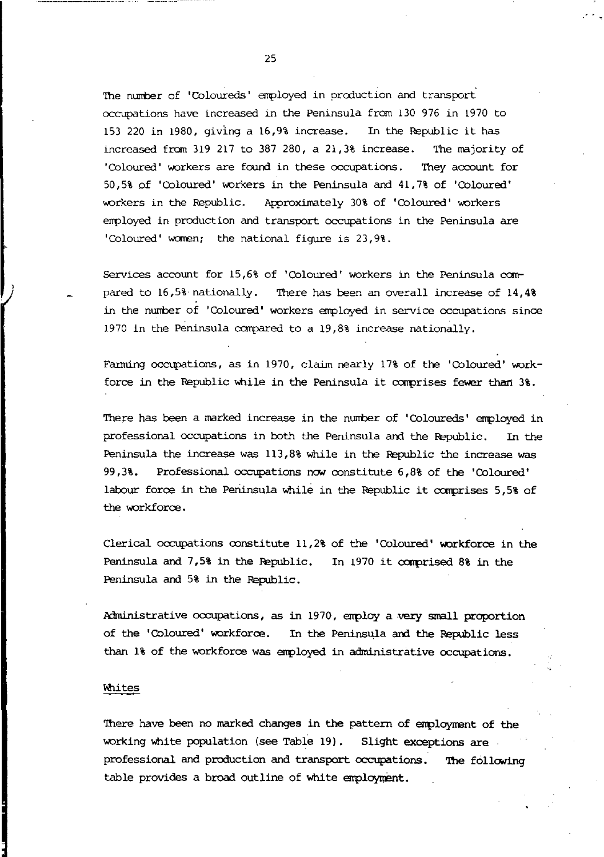The number of 'Coloureds' employed in oroduction and transport occupations have increased in the Peninsula from 130 976 in 1970 to 153 220 in 1980, giving a 16,9% increase. In the Republic it has increased from 319 217 to 387 280, a  $21,38$  increase. The majority of 'Coloured' workers are found in these occupations. They account for 50,5% of 'Coloured' workers in the Peninsula and 41,7% of 'Coloured' workers in the Republic. Approximately 30% of 'Coloured' workers errployed in production and transport occupations in the Peninsula are 'Coloured' waren; the national figure is 23,9%.

Services account for 15,6% of 'Coloured' workers in the Peninsula c0mpared to  $16.5\%$  nationally. There has been an overall increase of  $14.4\%$ in the number of 'Coloured' workers employed in service occupations since 1970 in the Peninsula compared to a 19,8% increase nationally.

Farming occupations, as in 1970, claim nearly 17% of the 'Coloured' workforce in the Republic while in the Peninsula it comprises fewer than  $3\$ .

There has been a marked increase in the number of 'Coloureds' employed in professional occupations in both the Peninsula and the Republic. In the Peninsula the increase was 113,8% while in the Republic the increase was 99,3%. Professional occupations nON constitute 6,8% of the 'Coloured' labour force in the Peninsula while in the Republic it comprises 5,5% of the workforce.

Clerical occupations constitute 11,2% of the 'Coloured' workforce in the Peninsula and  $7,5\$  in the Republic. In 1970 it comprised 8% in the Peninsula and 5% in the Republic.

Administrative occupations, as in 1970, employ a very small proportion of the 'Coloured' workforce. In the Peninsula and the Republic less than 1% of the workforce was enployed in administrative occupations.

#### Whites

There have been no marked changes in the pattern of employment of the working white population (see Table 19). Slight exceptions are professional and production and transport occupations. The following table provides a broad outline of white employment.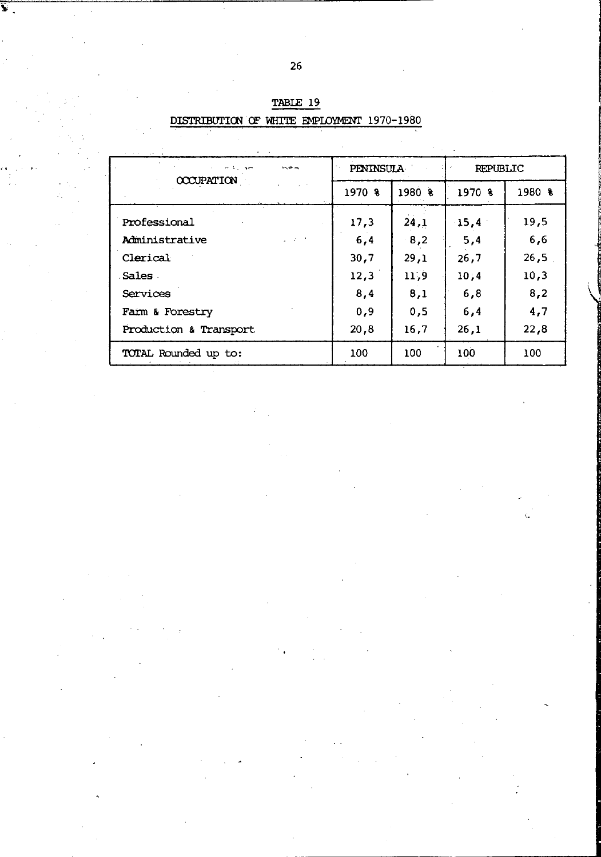| n Allian<br>یس نگار برد<br>OCCUPATION    | PENINSULA |        | <b>REPUBLIC</b> |            |  |
|------------------------------------------|-----------|--------|-----------------|------------|--|
|                                          | 1970 %    | 1980 8 | 1970 %          | $1980$ $%$ |  |
| Professional                             | 17,3      | 24,1   | $-15,4$         | 19,5       |  |
| $\omega = \lambda = 2$<br>Administrative | 6,4       | 8,2    | 5,4             | 6,6        |  |
| Clerical                                 | 30,7      | 29,1   | 26,7            | 26,5       |  |
| .Sales .                                 | 12,3      | 11,9   | 10:4            | 10,3       |  |
| Services                                 | 8,4       | 8.1    | 6,8             | 8,2        |  |
| Farm & Forestry                          | 0,9       | 0,5    | 6,4             | 4,7        |  |
| Production & Transport                   | 20.8      | 16,7   | 26.1            | 22,8       |  |
| TOTAL Rounded up to:                     | 100       | 100    | 100             | 100        |  |

| TABLE 19                                   |  |  |  |  |  |  |  |
|--------------------------------------------|--|--|--|--|--|--|--|
| DISTRIBUTION OF WHITE EMPLOYMENT 1970-1980 |  |  |  |  |  |  |  |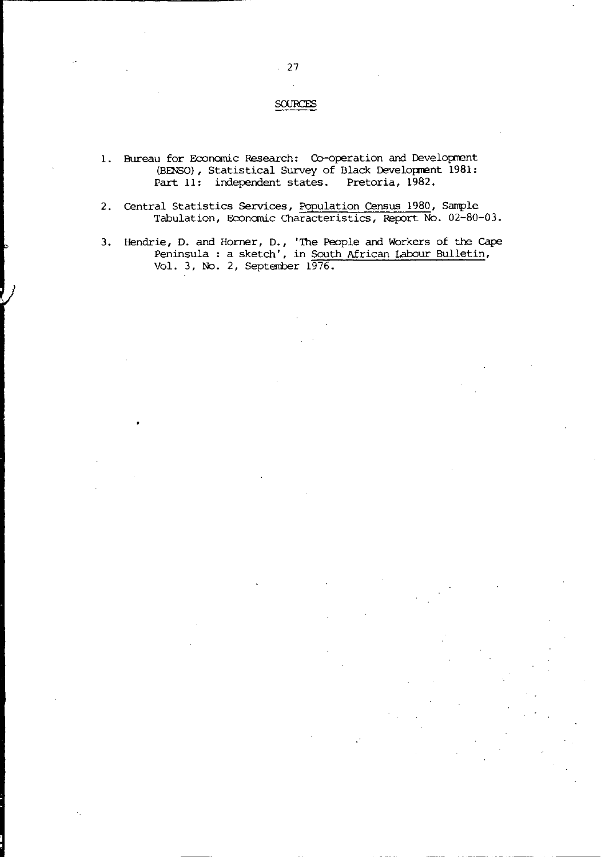## SOURCES

- 1. Bureau for Economic Research: Co-operation and Development (BENSO), Statistical Survey of Black Development 1981: Part 11: independent states. Pretoria, 1982.
- 2. Central Statistics Services, Population Census 1980, Sample Tabulation, Economic Characteristics, Report No. 02-80-03.
- 3. Hendrie, D. and Horner, D., 'The People and Workers of the Cape Peninsula: a sketch', in South African Labour Bulletin, Vol. 3, No.2, September 1976.